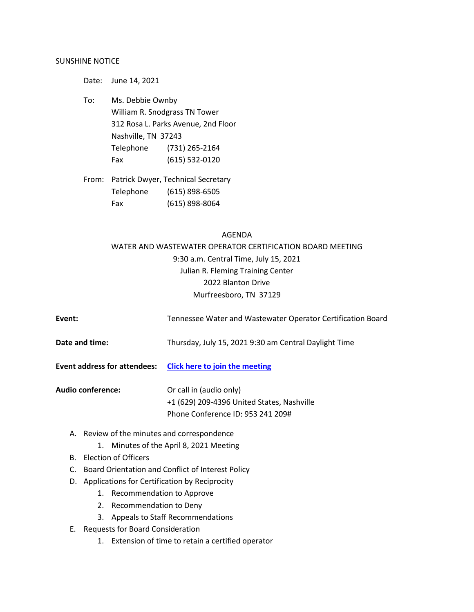## SUNSHINE NOTICE

Date: June 14, 2021 To: Ms. Debbie Ownby William R. Snodgrass TN Tower 312 Rosa L. Parks Avenue, 2nd Floor Nashville, TN 37243 Telephone (731) 265-2164 Fax (615) 532-0120

From: Patrick Dwyer, Technical Secretary Telephone (615) 898-6505 Fax (615) 898-8064

## AGENDA

WATER AND WASTEWATER OPERATOR CERTIFICATION BOARD MEETING 9:30 a.m. Central Time, July 15, 2021 Julian R. Fleming Training Center 2022 Blanton Drive Murfreesboro, TN 37129

| Event:                   | Tennessee Water and Wastewater Operator Certification Board                                                |
|--------------------------|------------------------------------------------------------------------------------------------------------|
| Date and time:           | Thursday, July 15, 2021 9:30 am Central Daylight Time                                                      |
|                          | Event address for attendees: Click here to join the meeting                                                |
| <b>Audio conference:</b> | Or call in (audio only)<br>+1 (629) 209-4396 United States, Nashville<br>Phone Conference ID: 953 241 209# |

- A. Review of the minutes and correspondence
	- 1. Minutes of the April 8, 2021 Meeting
- B. Election of Officers
- C. Board Orientation and Conflict of Interest Policy
- D. Applications for Certification by Reciprocity
	- 1. Recommendation to Approve
	- 2. Recommendation to Deny
	- 3. Appeals to Staff Recommendations
- E. Requests for Board Consideration
	- 1. Extension of time to retain a certified operator